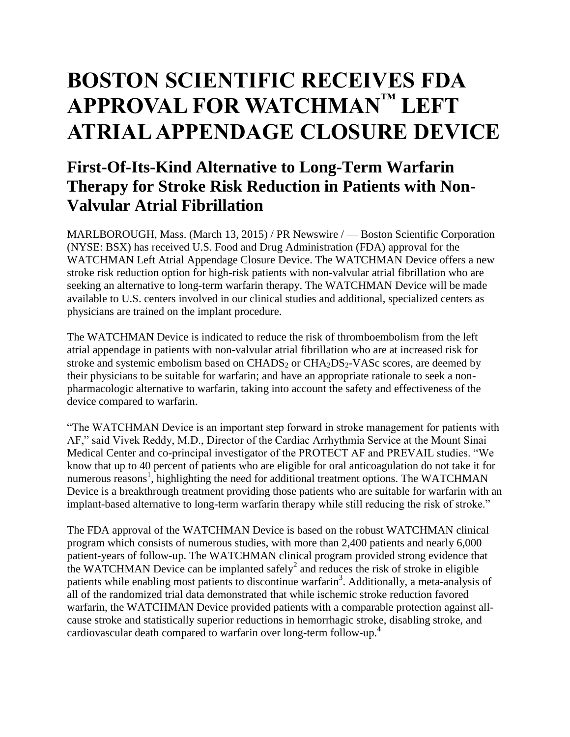# **BOSTON SCIENTIFIC RECEIVES FDA APPROVAL FOR WATCHMAN™ LEFT ATRIAL APPENDAGE CLOSURE DEVICE**

# **First-Of-Its-Kind Alternative to Long-Term Warfarin Therapy for Stroke Risk Reduction in Patients with Non-Valvular Atrial Fibrillation**

MARLBOROUGH, Mass. (March 13, 2015) / PR Newswire / — Boston Scientific Corporation (NYSE: BSX) has received U.S. Food and Drug Administration (FDA) approval for the WATCHMAN Left Atrial Appendage Closure Device. The WATCHMAN Device offers a new stroke risk reduction option for high-risk patients with non-valvular atrial fibrillation who are seeking an alternative to long-term warfarin therapy. The WATCHMAN Device will be made available to U.S. centers involved in our clinical studies and additional, specialized centers as physicians are trained on the implant procedure.

The WATCHMAN Device is indicated to reduce the risk of thromboembolism from the left atrial appendage in patients with non-valvular atrial fibrillation who are at increased risk for stroke and systemic embolism based on  $CHADS<sub>2</sub>$  or  $CHA<sub>2</sub>DS<sub>2</sub>$ -VASc scores, are deemed by their physicians to be suitable for warfarin; and have an appropriate rationale to seek a nonpharmacologic alternative to warfarin, taking into account the safety and effectiveness of the device compared to warfarin.

"The WATCHMAN Device is an important step forward in stroke management for patients with AF," said Vivek Reddy, M.D., Director of the Cardiac Arrhythmia Service at the Mount Sinai Medical Center and co-principal investigator of the PROTECT AF and PREVAIL studies. "We know that up to 40 percent of patients who are eligible for oral anticoagulation do not take it for numerous reasons<sup>1</sup>, highlighting the need for additional treatment options. The WATCHMAN Device is a breakthrough treatment providing those patients who are suitable for warfarin with an implant-based alternative to long-term warfarin therapy while still reducing the risk of stroke."

The FDA approval of the WATCHMAN Device is based on the robust WATCHMAN clinical program which consists of numerous studies, with more than 2,400 patients and nearly 6,000 patient-years of follow-up. The WATCHMAN clinical program provided strong evidence that the WATCHMAN Device can be implanted safely<sup>2</sup> and reduces the risk of stroke in eligible patients while enabling most patients to discontinue warfarin<sup>3</sup>. Additionally, a meta-analysis of all of the randomized trial data demonstrated that while ischemic stroke reduction favored warfarin, the WATCHMAN Device provided patients with a comparable protection against allcause stroke and statistically superior reductions in hemorrhagic stroke, disabling stroke, and cardiovascular death compared to warfarin over long-term follow-up. 4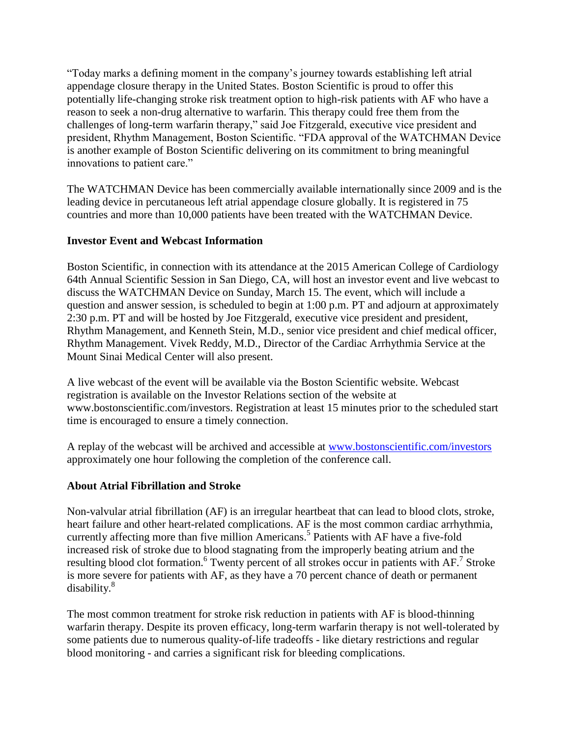"Today marks a defining moment in the company's journey towards establishing left atrial appendage closure therapy in the United States. Boston Scientific is proud to offer this potentially life-changing stroke risk treatment option to high-risk patients with AF who have a reason to seek a non-drug alternative to warfarin. This therapy could free them from the challenges of long-term warfarin therapy," said Joe Fitzgerald, executive vice president and president, Rhythm Management, Boston Scientific. "FDA approval of the WATCHMAN Device is another example of Boston Scientific delivering on its commitment to bring meaningful innovations to patient care."

The WATCHMAN Device has been commercially available internationally since 2009 and is the leading device in percutaneous left atrial appendage closure globally. It is registered in 75 countries and more than 10,000 patients have been treated with the WATCHMAN Device.

## **Investor Event and Webcast Information**

Boston Scientific, in connection with its attendance at the 2015 American College of Cardiology 64th Annual Scientific Session in San Diego, CA, will host an investor event and live webcast to discuss the WATCHMAN Device on Sunday, March 15. The event, which will include a question and answer session, is scheduled to begin at 1:00 p.m. PT and adjourn at approximately 2:30 p.m. PT and will be hosted by Joe Fitzgerald, executive vice president and president, Rhythm Management, and Kenneth Stein, M.D., senior vice president and chief medical officer, Rhythm Management. Vivek Reddy, M.D., Director of the Cardiac Arrhythmia Service at the Mount Sinai Medical Center will also present.

A live webcast of the event will be available via the Boston Scientific website. Webcast registration is available on the Investor Relations section of the website at www.bostonscientific.com/investors. Registration at least 15 minutes prior to the scheduled start time is encouraged to ensure a timely connection.

A replay of the webcast will be archived and accessible at [www.bostonscientific.com/investors](http://www.bostonscientific.com/investors) approximately one hour following the completion of the conference call.

## **About Atrial Fibrillation and Stroke**

Non-valvular atrial fibrillation (AF) is an irregular heartbeat that can lead to blood clots, stroke, heart failure and other heart-related complications. AF is the most common cardiac arrhythmia, currently affecting more than five million Americans.<sup>5</sup> Patients with AF have a five-fold increased risk of stroke due to blood stagnating from the improperly beating atrium and the resulting blood clot formation.<sup>6</sup> Twenty percent of all strokes occur in patients with AF.<sup>7</sup> Stroke is more severe for patients with AF, as they have a 70 percent chance of death or permanent disability.<sup>8</sup>

The most common treatment for stroke risk reduction in patients with AF is blood-thinning warfarin therapy. Despite its proven efficacy, long-term warfarin therapy is not well-tolerated by some patients due to numerous quality-of-life tradeoffs - like dietary restrictions and regular blood monitoring - and carries a significant risk for bleeding complications.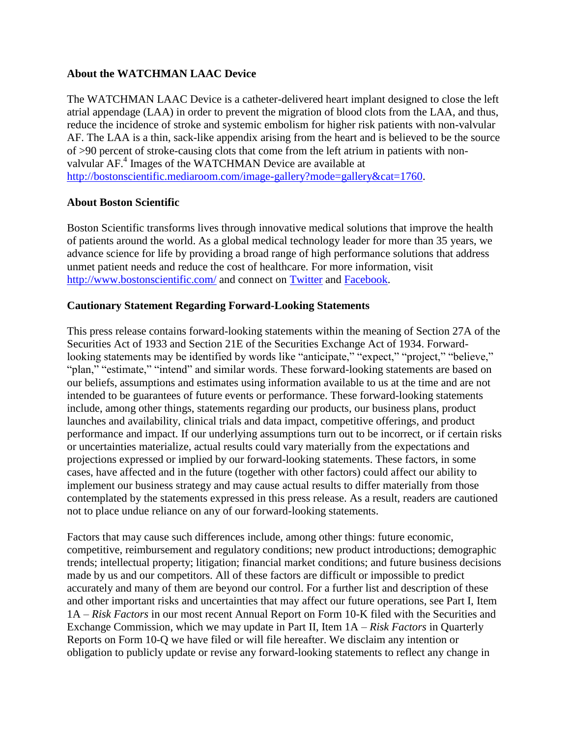#### **About the WATCHMAN LAAC Device**

The WATCHMAN LAAC Device is a catheter-delivered heart implant designed to close the left atrial appendage (LAA) in order to prevent the migration of blood clots from the LAA, and thus, reduce the incidence of stroke and systemic embolism for higher risk patients with non-valvular AF. The LAA is a thin, sack-like appendix arising from the heart and is believed to be the source of >90 percent of stroke-causing clots that come from the left atrium in patients with nonvalvular AF.<sup>4</sup> Images of the WATCHMAN Device are available at [http://bostonscientific.mediaroom.com/image-gallery?mode=gallery&cat=1760.](http://bostonscientific.mediaroom.com/image-gallery?mode=gallery&cat=1760)

#### **About Boston Scientific**

Boston Scientific transforms lives through innovative medical solutions that improve the health of patients around the world. As a global medical technology leader for more than 35 years, we advance science for life by providing a broad range of high performance solutions that address unmet patient needs and reduce the cost of healthcare. For more information, visit <http://www.bostonscientific.com/> and connect on [Twitter](http://twitter.com/bostonsci) and [Facebook.](http://www.facebook.com/bostonscientific)

#### **Cautionary Statement Regarding Forward-Looking Statements**

This press release contains forward-looking statements within the meaning of Section 27A of the Securities Act of 1933 and Section 21E of the Securities Exchange Act of 1934. Forwardlooking statements may be identified by words like "anticipate," "expect," "project," "believe," "plan," "estimate," "intend" and similar words. These forward-looking statements are based on our beliefs, assumptions and estimates using information available to us at the time and are not intended to be guarantees of future events or performance. These forward-looking statements include, among other things, statements regarding our products, our business plans, product launches and availability, clinical trials and data impact, competitive offerings, and product performance and impact. If our underlying assumptions turn out to be incorrect, or if certain risks or uncertainties materialize, actual results could vary materially from the expectations and projections expressed or implied by our forward-looking statements. These factors, in some cases, have affected and in the future (together with other factors) could affect our ability to implement our business strategy and may cause actual results to differ materially from those contemplated by the statements expressed in this press release. As a result, readers are cautioned not to place undue reliance on any of our forward-looking statements.

Factors that may cause such differences include, among other things: future economic, competitive, reimbursement and regulatory conditions; new product introductions; demographic trends; intellectual property; litigation; financial market conditions; and future business decisions made by us and our competitors. All of these factors are difficult or impossible to predict accurately and many of them are beyond our control. For a further list and description of these and other important risks and uncertainties that may affect our future operations, see Part I, Item 1A – *Risk Factors* in our most recent Annual Report on Form 10-K filed with the Securities and Exchange Commission, which we may update in Part II, Item 1A – *Risk Factors* in Quarterly Reports on Form 10-Q we have filed or will file hereafter. We disclaim any intention or obligation to publicly update or revise any forward-looking statements to reflect any change in